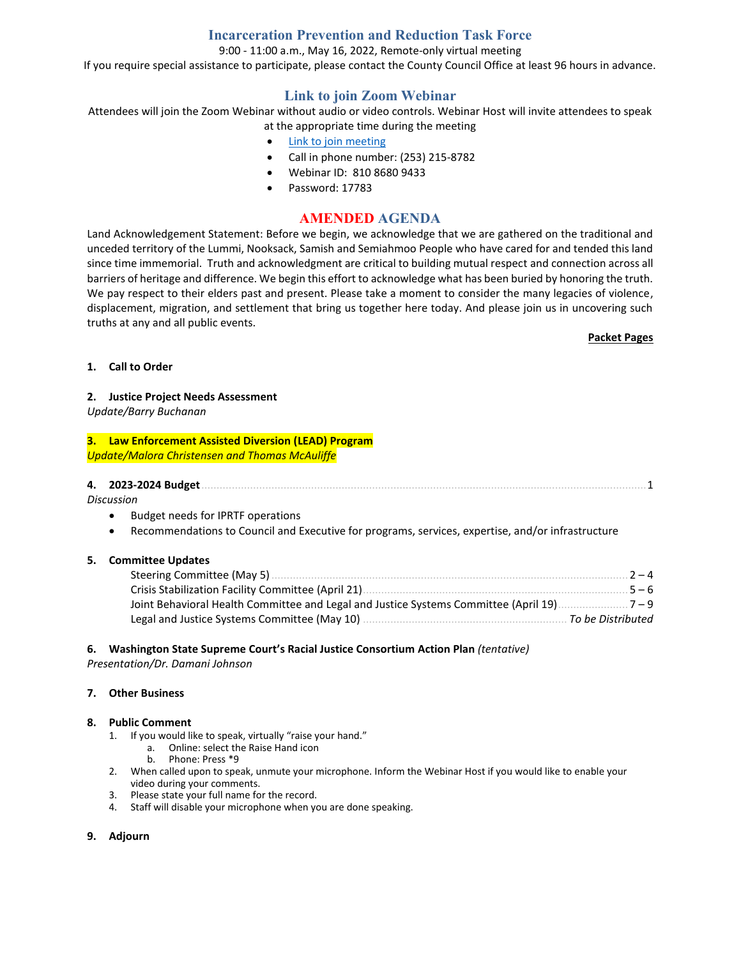## **Incarceration Prevention and Reduction Task Force**

9:00 - 11:00 a.m., May 16, 2022, Remote-only virtual meeting

If you require special assistance to participate, please contact the County Council Office at least 96 hours in advance.

## **Link to join Zoom Webinar**

Attendees will join the Zoom Webinar without audio or video controls. Webinar Host will invite attendees to speak at the appropriate time during the meeting

- [Link to join meeting](https://us06web.zoom.us/j/81086809433?pwd=eUxqWkJrK0ZNUjF4d0R4bHJaUlVSUT09)
- Call in phone number: (253) 215-8782
- Webinar ID: 810 8680 9433
- Password: 17783

### **AMENDED AGENDA**

Land Acknowledgement Statement: Before we begin, we acknowledge that we are gathered on the traditional and unceded territory of the Lummi, Nooksack, Samish and Semiahmoo People who have cared for and tended this land since time immemorial. Truth and acknowledgment are critical to building mutual respect and connection across all barriers of heritage and difference. We begin this effort to acknowledge what has been buried by honoring the truth. We pay respect to their elders past and present. Please take a moment to consider the many legacies of violence, displacement, migration, and settlement that bring us together here today. And please join us in uncovering such truths at any and all public events.

#### **Packet Pages**

#### **1. Call to Order**

### **2. Justice Project Needs Assessment**

*Update/Barry Buchanan*

### **3. Law Enforcement Assisted Diversion (LEAD) Program** *Update/Malora Christensen and Thomas McAuliffe*

| 4. 2023-2024 Budget |  |
|---------------------|--|
|                     |  |

*Discussion*

- Budget needs for IPRTF operations
- Recommendations to Council and Executive for programs, services, expertise, and/or infrastructure

#### **5. Committee Updates**

| Steering Committee (May 5)                                                            | $2 - 4$           |
|---------------------------------------------------------------------------------------|-------------------|
| Crisis Stabilization Facility Committee (April 21).                                   | $5 - 6$           |
| Joint Behavioral Health Committee and Legal and Justice Systems Committee (April 19). | $7 - 9$           |
| Legal and Justice Systems Committee (May 10)                                          | To be Distributed |

#### **6. Washington State Supreme Court's Racial Justice Consortium Action Plan** *(tentative)*

*Presentation/Dr. Damani Johnson*

#### **7. Other Business**

#### **8. Public Comment**

- 1. If you would like to speak, virtually "raise your hand."
	- a. Online: select the Raise Hand icon
		- b. Phone: Press \*9
- 2. When called upon to speak, unmute your microphone. Inform the Webinar Host if you would like to enable your video during your comments.
- 3. Please state your full name for the record.
- 4. Staff will disable your microphone when you are done speaking.

#### **9. Adjourn**